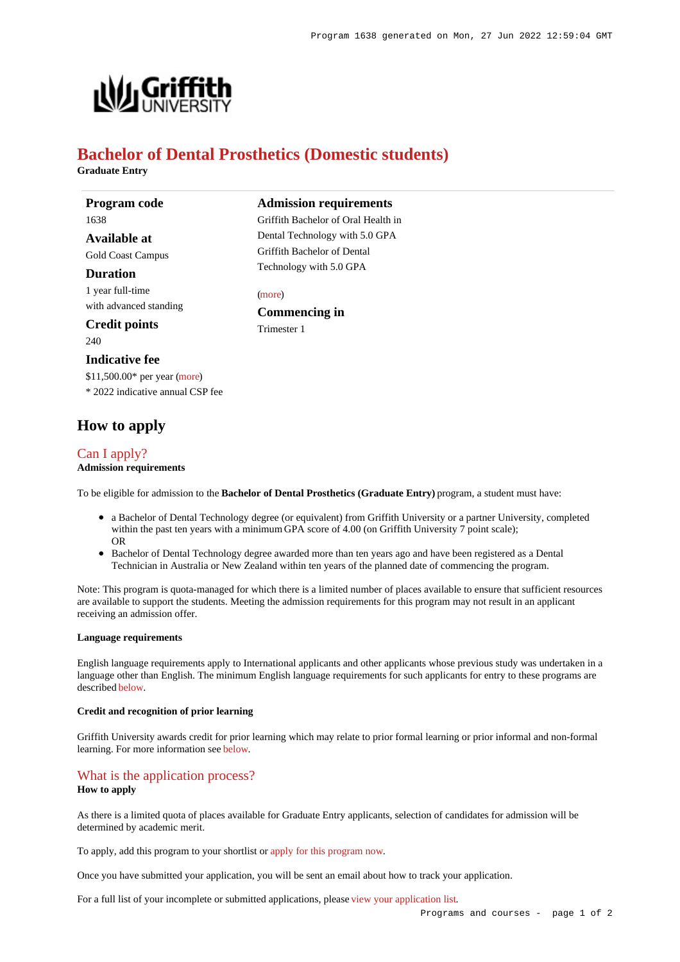

# **Bachelor of Dental Prosthetics (Domestic students)**

**Graduate Entry**

**Program code** 1638 **Available at**

Gold Coast Campus

#### **Duration**

1 year full-time with advanced standing

#### **Credit points**

240

#### **Indicative fee**

\$11,500.00\* per year [\(more](https://www148.griffith.edu.au/programs-courses/Program/1638/Overview/Domestic#fees)) \* 2022 indicative annual CSP fee

# **How to apply**

# [Can I apply?](https://www148.griffith.edu.au/programs-courses/Program/1638/HowToApply/Domestic#can-i-apply)

**Admission requirements**

To be eligible for admission to the **Bachelor of Dental Prosthetics (Graduate Entry)** program, a student must have:

- a Bachelor of Dental Technology degree (or equivalent) from Griffith University or a partner University, completed within the past ten years with a minimum GPA score of 4.00 (on Griffith University 7 point scale); OR
- Bachelor of Dental Technology degree awarded more than ten years ago and have been registered as a Dental Technician in Australia or New Zealand within ten years of the planned date of commencing the program.

Note: This program is quota-managed for which there is a limited number of places available to ensure that sufficient resources are available to support the students. Meeting the admission requirements for this program may not result in an applicant receiving an admission offer.

#### **Language requirements**

English language requirements apply to International applicants and other applicants whose previous study was undertaken in a language other than English. The minimum English language requirements for such applicants for entry to these programs are described [below](https://www148.griffith.edu.au/programs-courses/Program/1638/HowToApply/Domestic#language).

#### **Credit and recognition of prior learning**

Griffith University awards credit for prior learning which may relate to prior formal learning or prior informal and non-formal learning. For more information see [below](https://www148.griffith.edu.au/programs-courses/Program/1638/HowToApply/Domestic#credit).

## [What is the application process?](https://www148.griffith.edu.au/programs-courses/Program/1638/HowToApply/Domestic#process)

### **How to apply**

As there is a limited quota of places available for Graduate Entry applicants, selection of candidates for admission will be determined by academic merit.

To apply, add this program to your shortlist or [apply for this program now](https://www148.griffith.edu.au/online-admissions/Start/Index/DIRECT_UG_GRADENT?applicationTemplateType=ONUGRDDOM).

Once you have submitted your application, you will be sent an email about how to track your application.

For a full list of your incomplete or submitted applications, please [view your application list](https://www148.griffith.edu.au/online-admissions/shortlist/applications).

[\(more](https://www148.griffith.edu.au/programs-courses/Program/1638/HowToApply/Domestic#can-i-apply)) **Commencing in** Trimester 1

**Admission requirements** Griffith Bachelor of Oral Health in Dental Technology with 5.0 GPA Griffith Bachelor of Dental Technology with 5.0 GPA